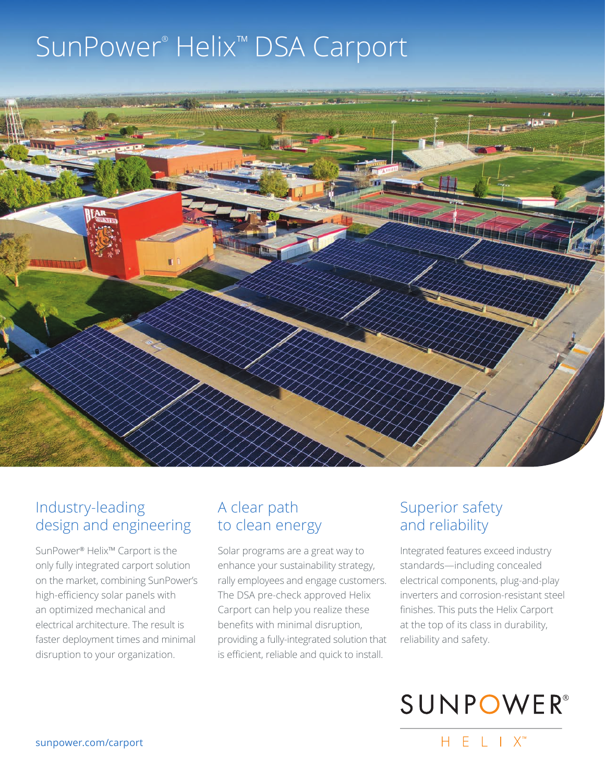# SunPower® Helix™ DSA Carport



## Industry-leading design and engineering

SunPower® Helix™ Carport is the only fully integrated carport solution on the market, combining SunPower's high-efficiency solar panels with an optimized mechanical and electrical architecture. The result is faster deployment times and minimal disruption to your organization.

## A clear path to clean energy

Solar programs are a great way to enhance your sustainability strategy, rally employees and engage customers. The DSA pre-check approved Helix Carport can help you realize these benefits with minimal disruption, providing a fully-integrated solution that is efficient, reliable and quick to install.

# Superior safety and reliability

Integrated features exceed industry standards—including concealed electrical components, plug-and-play inverters and corrosion-resistant steel finishes. This puts the Helix Carport at the top of its class in durability, reliability and safety.



 $H F I X^M$ 

sunpower.com/carport